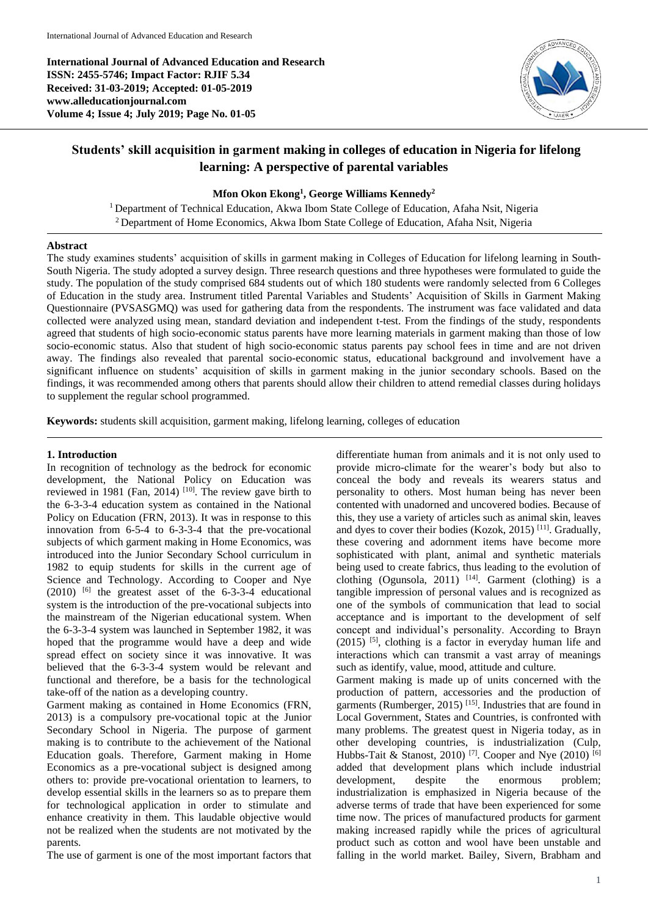**International Journal of Advanced Education and Research ISSN: 2455-5746; Impact Factor: RJIF 5.34 Received: 31-03-2019; Accepted: 01-05-2019 www.alleducationjournal.com Volume 4; Issue 4; July 2019; Page No. 01-05**



# **Students' skill acquisition in garment making in colleges of education in Nigeria for lifelong learning: A perspective of parental variables**

#### **Mfon Okon Ekong<sup>1</sup> , George Williams Kennedy<sup>2</sup>**

<sup>1</sup> Department of Technical Education, Akwa Ibom State College of Education, Afaha Nsit, Nigeria <sup>2</sup> Department of Home Economics, Akwa Ibom State College of Education, Afaha Nsit, Nigeria

#### **Abstract**

The study examines students' acquisition of skills in garment making in Colleges of Education for lifelong learning in South-South Nigeria. The study adopted a survey design. Three research questions and three hypotheses were formulated to guide the study. The population of the study comprised 684 students out of which 180 students were randomly selected from 6 Colleges of Education in the study area. Instrument titled Parental Variables and Students' Acquisition of Skills in Garment Making Questionnaire (PVSASGMQ) was used for gathering data from the respondents. The instrument was face validated and data collected were analyzed using mean, standard deviation and independent t-test. From the findings of the study, respondents agreed that students of high socio-economic status parents have more learning materials in garment making than those of low socio-economic status. Also that student of high socio-economic status parents pay school fees in time and are not driven away. The findings also revealed that parental socio-economic status, educational background and involvement have a significant influence on students' acquisition of skills in garment making in the junior secondary schools. Based on the findings, it was recommended among others that parents should allow their children to attend remedial classes during holidays to supplement the regular school programmed.

**Keywords:** students skill acquisition, garment making, lifelong learning, colleges of education

#### **1. Introduction**

In recognition of technology as the bedrock for economic development, the National Policy on Education was reviewed in 1981 (Fan, 2014)<sup>[10]</sup>. The review gave birth to the 6-3-3-4 education system as contained in the National Policy on Education (FRN, 2013). It was in response to this innovation from 6-5-4 to 6-3-3-4 that the pre-vocational subjects of which garment making in Home Economics, was introduced into the Junior Secondary School curriculum in 1982 to equip students for skills in the current age of Science and Technology. According to Cooper and Nye  $(2010)$  <sup>[6]</sup> the greatest asset of the 6-3-3-4 educational system is the introduction of the pre-vocational subjects into the mainstream of the Nigerian educational system. When the 6-3-3-4 system was launched in September 1982, it was hoped that the programme would have a deep and wide spread effect on society since it was innovative. It was believed that the 6-3-3-4 system would be relevant and functional and therefore, be a basis for the technological take-off of the nation as a developing country.

Garment making as contained in Home Economics (FRN, 2013) is a compulsory pre-vocational topic at the Junior Secondary School in Nigeria. The purpose of garment making is to contribute to the achievement of the National Education goals. Therefore, Garment making in Home Economics as a pre-vocational subject is designed among others to: provide pre-vocational orientation to learners, to develop essential skills in the learners so as to prepare them for technological application in order to stimulate and enhance creativity in them. This laudable objective would not be realized when the students are not motivated by the parents.

The use of garment is one of the most important factors that

differentiate human from animals and it is not only used to provide micro-climate for the wearer's body but also to conceal the body and reveals its wearers status and personality to others. Most human being has never been contented with unadorned and uncovered bodies. Because of this, they use a variety of articles such as animal skin, leaves and dyes to cover their bodies (Kozok, 2015)<sup>[11]</sup>. Gradually, these covering and adornment items have become more sophisticated with plant, animal and synthetic materials being used to create fabrics, thus leading to the evolution of clothing (Ogunsola, 2011)<sup>[14]</sup>. Garment (clothing) is a tangible impression of personal values and is recognized as one of the symbols of communication that lead to social acceptance and is important to the development of self concept and individual's personality. According to Brayn (2015) [5] , clothing is a factor in everyday human life and interactions which can transmit a vast array of meanings such as identify, value, mood, attitude and culture.

Garment making is made up of units concerned with the production of pattern, accessories and the production of garments (Rumberger, 2015)<sup>[15]</sup>. Industries that are found in Local Government, States and Countries, is confronted with many problems. The greatest quest in Nigeria today, as in other developing countries, is industrialization (Culp, Hubbs-Tait & Stanost, 2010)<sup>[7]</sup>. Cooper and Nye  $(2010)$ <sup>[6]</sup> added that development plans which include industrial development, despite the enormous problem; industrialization is emphasized in Nigeria because of the adverse terms of trade that have been experienced for some time now. The prices of manufactured products for garment making increased rapidly while the prices of agricultural product such as cotton and wool have been unstable and falling in the world market. Bailey, Sivern, Brabham and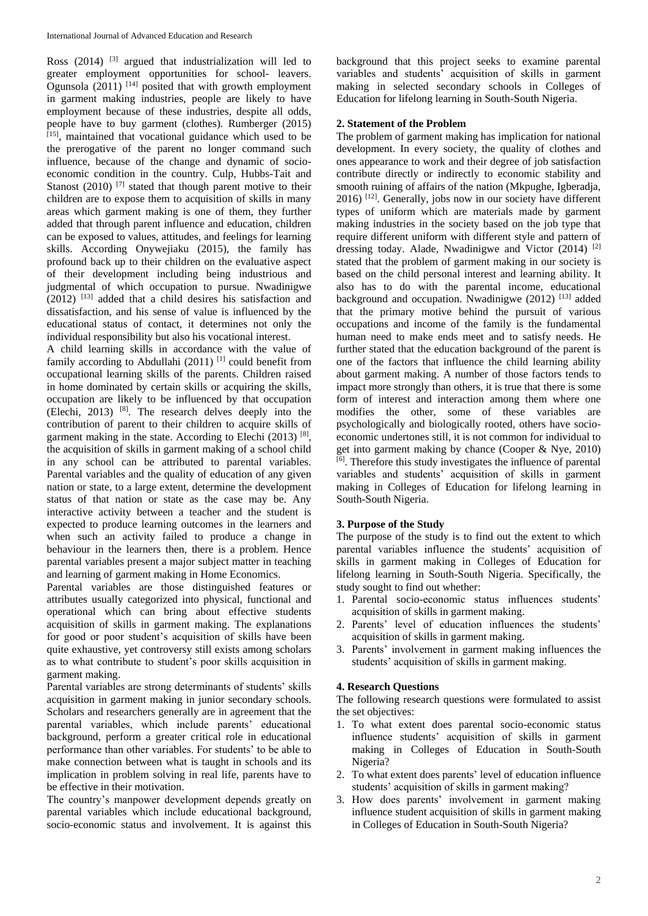Ross  $(2014)$  <sup>[3]</sup> argued that industrialization will led to greater employment opportunities for school- leavers. Ogunsola  $(2011)$ <sup>[14]</sup> posited that with growth employment in garment making industries, people are likely to have employment because of these industries, despite all odds, people have to buy garment (clothes). Rumberger (2015) [15], maintained that vocational guidance which used to be the prerogative of the parent no longer command such influence, because of the change and dynamic of socioeconomic condition in the country. Culp, Hubbs-Tait and Stanost  $(2010)$ <sup>[7]</sup> stated that though parent motive to their children are to expose them to acquisition of skills in many areas which garment making is one of them, they further added that through parent influence and education, children can be exposed to values, attitudes, and feelings for learning skills. According Onywejiaku (2015), the family has profound back up to their children on the evaluative aspect of their development including being industrious and judgmental of which occupation to pursue. Nwadinigwe  $(2012)$ <sup>[13]</sup> added that a child desires his satisfaction and dissatisfaction, and his sense of value is influenced by the educational status of contact, it determines not only the individual responsibility but also his vocational interest.

A child learning skills in accordance with the value of family according to Abdullahi  $(2011)$ <sup>[1]</sup> could benefit from occupational learning skills of the parents. Children raised in home dominated by certain skills or acquiring the skills, occupation are likely to be influenced by that occupation (Elechi, 2013) [8] . The research delves deeply into the contribution of parent to their children to acquire skills of garment making in the state. According to Elechi (2013)<sup>[8]</sup>, the acquisition of skills in garment making of a school child in any school can be attributed to parental variables. Parental variables and the quality of education of any given nation or state, to a large extent, determine the development status of that nation or state as the case may be. Any interactive activity between a teacher and the student is expected to produce learning outcomes in the learners and when such an activity failed to produce a change in behaviour in the learners then, there is a problem. Hence parental variables present a major subject matter in teaching and learning of garment making in Home Economics.

Parental variables are those distinguished features or attributes usually categorized into physical, functional and operational which can bring about effective students acquisition of skills in garment making. The explanations for good or poor student's acquisition of skills have been quite exhaustive, yet controversy still exists among scholars as to what contribute to student's poor skills acquisition in garment making.

Parental variables are strong determinants of students' skills acquisition in garment making in junior secondary schools. Scholars and researchers generally are in agreement that the parental variables, which include parents' educational background, perform a greater critical role in educational performance than other variables. For students' to be able to make connection between what is taught in schools and its implication in problem solving in real life, parents have to be effective in their motivation.

The country's manpower development depends greatly on parental variables which include educational background, socio-economic status and involvement. It is against this

background that this project seeks to examine parental variables and students' acquisition of skills in garment making in selected secondary schools in Colleges of Education for lifelong learning in South-South Nigeria.

### **2. Statement of the Problem**

The problem of garment making has implication for national development. In every society, the quality of clothes and ones appearance to work and their degree of job satisfaction contribute directly or indirectly to economic stability and smooth ruining of affairs of the nation (Mkpughe, Igberadja, 2016) [12] . Generally, jobs now in our society have different types of uniform which are materials made by garment making industries in the society based on the job type that require different uniform with different style and pattern of dressing today. Alade, Nwadinigwe and Victor (2014) [2] stated that the problem of garment making in our society is based on the child personal interest and learning ability. It also has to do with the parental income, educational background and occupation. Nwadinigwe (2012)<sup>[13]</sup> added that the primary motive behind the pursuit of various occupations and income of the family is the fundamental human need to make ends meet and to satisfy needs. He further stated that the education background of the parent is one of the factors that influence the child learning ability about garment making. A number of those factors tends to impact more strongly than others, it is true that there is some form of interest and interaction among them where one modifies the other, some of these variables are psychologically and biologically rooted, others have socioeconomic undertones still, it is not common for individual to get into garment making by chance (Cooper & Nye, 2010) [6] . Therefore this study investigates the influence of parental variables and students' acquisition of skills in garment making in Colleges of Education for lifelong learning in South-South Nigeria.

# **3. Purpose of the Study**

The purpose of the study is to find out the extent to which parental variables influence the students' acquisition of skills in garment making in Colleges of Education for lifelong learning in South-South Nigeria. Specifically, the study sought to find out whether:

- 1. Parental socio-economic status influences students' acquisition of skills in garment making.
- 2. Parents' level of education influences the students' acquisition of skills in garment making.
- 3. Parents' involvement in garment making influences the students' acquisition of skills in garment making.

# **4. Research Questions**

The following research questions were formulated to assist the set objectives:

- 1. To what extent does parental socio-economic status influence students' acquisition of skills in garment making in Colleges of Education in South-South Nigeria?
- 2. To what extent does parents' level of education influence students' acquisition of skills in garment making?
- 3. How does parents' involvement in garment making influence student acquisition of skills in garment making in Colleges of Education in South-South Nigeria?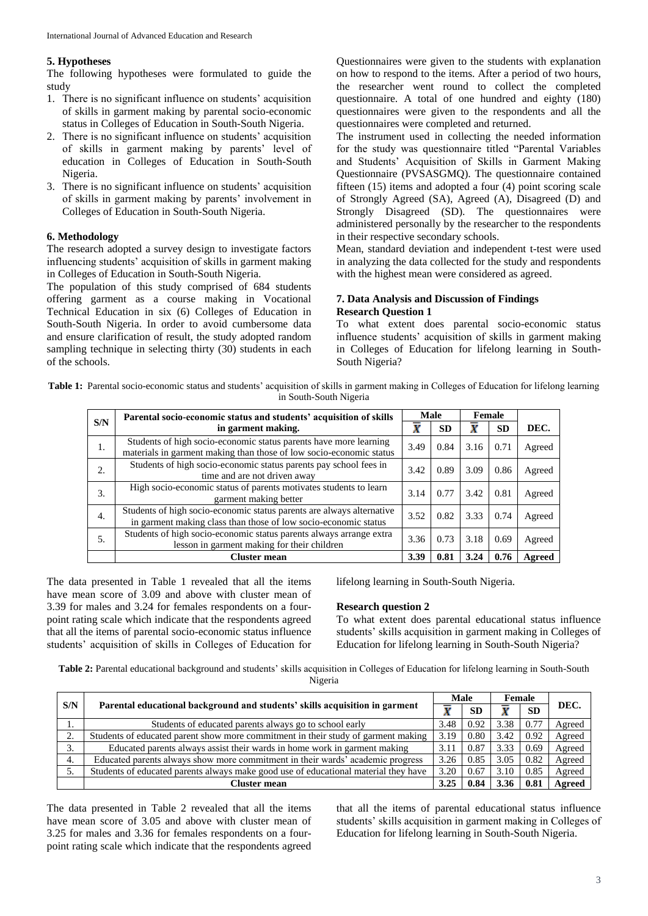# **5. Hypotheses**

The following hypotheses were formulated to guide the study

- 1. There is no significant influence on students' acquisition of skills in garment making by parental socio-economic status in Colleges of Education in South-South Nigeria.
- 2. There is no significant influence on students' acquisition of skills in garment making by parents' level of education in Colleges of Education in South-South Nigeria.
- 3. There is no significant influence on students' acquisition of skills in garment making by parents' involvement in Colleges of Education in South-South Nigeria.

# **6. Methodology**

The research adopted a survey design to investigate factors influencing students' acquisition of skills in garment making in Colleges of Education in South-South Nigeria.

The population of this study comprised of 684 students offering garment as a course making in Vocational Technical Education in six (6) Colleges of Education in South-South Nigeria. In order to avoid cumbersome data and ensure clarification of result, the study adopted random sampling technique in selecting thirty (30) students in each of the schools.

Questionnaires were given to the students with explanation on how to respond to the items. After a period of two hours, the researcher went round to collect the completed questionnaire. A total of one hundred and eighty (180) questionnaires were given to the respondents and all the questionnaires were completed and returned.

The instrument used in collecting the needed information for the study was questionnaire titled "Parental Variables and Students' Acquisition of Skills in Garment Making Questionnaire (PVSASGMQ). The questionnaire contained fifteen (15) items and adopted a four (4) point scoring scale of Strongly Agreed (SA), Agreed (A), Disagreed (D) and Strongly Disagreed (SD). The questionnaires were administered personally by the researcher to the respondents in their respective secondary schools.

Mean, standard deviation and independent t-test were used in analyzing the data collected for the study and respondents with the highest mean were considered as agreed.

# **7. Data Analysis and Discussion of Findings Research Question 1**

To what extent does parental socio-economic status influence students' acquisition of skills in garment making in Colleges of Education for lifelong learning in South-South Nigeria?

Table 1: Parental socio-economic status and students' acquisition of skills in garment making in Colleges of Education for lifelong learning in South-South Nigeria

|                  | Parental socio-economic status and students' acquisition of skills                                                                       |      | <b>Male</b> | <b>Female</b> |           |        |
|------------------|------------------------------------------------------------------------------------------------------------------------------------------|------|-------------|---------------|-----------|--------|
| S/N              | in garment making.                                                                                                                       | Х    | <b>SD</b>   |               | <b>SD</b> | DEC.   |
| 1.               | Students of high socio-economic status parents have more learning<br>materials in garment making than those of low socio-economic status | 3.49 | 0.84        | 3.16          | 0.71      | Agreed |
| 2.               | Students of high socio-economic status parents pay school fees in<br>time and are not driven away                                        | 3.42 | 0.89        | 3.09          | 0.86      | Agreed |
| 3.               | High socio-economic status of parents motivates students to learn<br>garment making better                                               | 3.14 | 0.77        | 3.42          | 0.81      | Agreed |
| $\overline{4}$ . | Students of high socio-economic status parents are always alternative<br>in garment making class than those of low socio-economic status | 3.52 | 0.82        | 3.33          | 0.74      | Agreed |
| 5.               | Students of high socio-economic status parents always arrange extra<br>lesson in garment making for their children                       | 3.36 | 0.73        | 3.18          | 0.69      | Agreed |
|                  | <b>Cluster mean</b>                                                                                                                      | 3.39 | 0.81        | 3.24          | 0.76      | Agreed |

The data presented in Table 1 revealed that all the items have mean score of 3.09 and above with cluster mean of 3.39 for males and 3.24 for females respondents on a fourpoint rating scale which indicate that the respondents agreed that all the items of parental socio-economic status influence students' acquisition of skills in Colleges of Education for

lifelong learning in South-South Nigeria.

# **Research question 2**

To what extent does parental educational status influence students' skills acquisition in garment making in Colleges of Education for lifelong learning in South-South Nigeria?

**Table 2:** Parental educational background and students' skills acquisition in Colleges of Education for lifelong learning in South-South Nigeria

|              |                                                                                     | <b>Male</b> |           | Female |           |               |
|--------------|-------------------------------------------------------------------------------------|-------------|-----------|--------|-----------|---------------|
| S/N          | Parental educational background and students' skills acquisition in garment         |             | <b>SD</b> |        | <b>SD</b> | DEC.          |
|              | Students of educated parents always go to school early                              | 3.48        | 0.92      | 3.38   | 0.77      | Agreed        |
| $\sim$       | Students of educated parent show more commitment in their study of garment making   | 3.19        | 0.80      | 3.42   | 0.92      | Agreed        |
| $\mathbf{r}$ | Educated parents always assist their wards in home work in garment making           | 3.11        | 0.87      | 3.33   | 0.69      | Agreed        |
| 4.           | Educated parents always show more commitment in their wards' academic progress      | 3.26        | 0.85      | 3.05   | 0.82      | Agreed        |
|              | Students of educated parents always make good use of educational material they have | 3.20        | 0.67      | 3.10   | 0.85      | Agreed        |
|              | Cluster mean                                                                        | 3.25        | 0.84      | 3.36   | 0.81      | <b>Agreed</b> |

The data presented in Table 2 revealed that all the items have mean score of 3.05 and above with cluster mean of 3.25 for males and 3.36 for females respondents on a fourpoint rating scale which indicate that the respondents agreed

that all the items of parental educational status influence students' skills acquisition in garment making in Colleges of Education for lifelong learning in South-South Nigeria.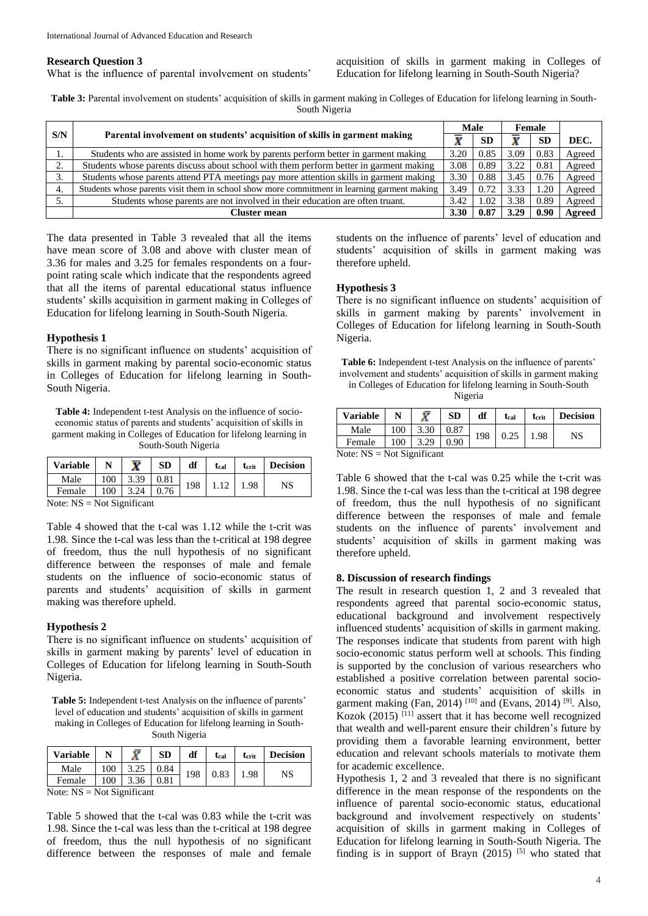#### **Research Question 3**

What is the influence of parental involvement on students'

acquisition of skills in garment making in Colleges of Education for lifelong learning in South-South Nigeria?

**Table 3:** Parental involvement on students' acquisition of skills in garment making in Colleges of Education for lifelong learning in South-South Nigeria

|     |                                                                                             | <b>Male</b> |           | Female |           |               |
|-----|---------------------------------------------------------------------------------------------|-------------|-----------|--------|-----------|---------------|
| S/N | Parental involvement on students' acquisition of skills in garment making                   | w           | <b>SD</b> |        | <b>SE</b> | DEC.          |
| ı.  | Students who are assisted in home work by parents perform better in garment making          | 3.20        | 0.85      | 3.09   | 0.83      | Agreed        |
| ◠   | Students whose parents discuss about school with them perform better in garment making      | 3.08        | 0.89      | 3.22   | 0.81      | Agreed        |
| 3.  | Students whose parents attend PTA meetings pay more attention skills in garment making      | 3.30        | 0.88      | 3.45   | 0.76      | Agreed        |
| 4.  | Students whose parents visit them in school show more commitment in learning garment making | 3.49        | 0.72      | 3.33   | .20       | Agreed        |
|     | Students whose parents are not involved in their education are often truant.                | 3.42        | .02       | 3.38   | 0.89      | Agreed        |
|     | Cluster mean                                                                                | 3.30        |           | 3.29   | 0.96      | <b>Agreed</b> |

The data presented in Table 3 revealed that all the items have mean score of 3.08 and above with cluster mean of 3.36 for males and 3.25 for females respondents on a fourpoint rating scale which indicate that the respondents agreed that all the items of parental educational status influence students' skills acquisition in garment making in Colleges of Education for lifelong learning in South-South Nigeria.

#### **Hypothesis 1**

There is no significant influence on students' acquisition of skills in garment making by parental socio-economic status in Colleges of Education for lifelong learning in South-South Nigeria.

**Table 4:** Independent t-test Analysis on the influence of socioeconomic status of parents and students' acquisition of skills in garment making in Colleges of Education for lifelong learning in South-South Nigeria

| <b>Variable</b>                       |          |      | <b>SD</b>         | df | t <sub>cal</sub> | t <sub>crit</sub> | <b>Decision</b> |
|---------------------------------------|----------|------|-------------------|----|------------------|-------------------|-----------------|
| Male                                  | 100      |      | $3.39 \quad 0.81$ |    | 198 1.12 1.98    |                   | NS              |
| Female                                | 100      | 3.24 | 0.76              |    |                  |                   |                 |
| $\sim$ $\sim$<br>$\sim$ $\sim$ $\sim$ | $\cdots$ |      |                   |    |                  |                   |                 |

Note:  $NS = Not Significant$ 

Table 4 showed that the t-cal was 1.12 while the t-crit was 1.98. Since the t-cal was less than the t-critical at 198 degree of freedom, thus the null hypothesis of no significant difference between the responses of male and female students on the influence of socio-economic status of parents and students' acquisition of skills in garment making was therefore upheld.

#### **Hypothesis 2**

There is no significant influence on students' acquisition of skills in garment making by parents' level of education in Colleges of Education for lifelong learning in South-South Nigeria.

**Table 5:** Independent t-test Analysis on the influence of parents' level of education and students' acquisition of skills in garment making in Colleges of Education for lifelong learning in South-South Nigeria

| <b>Variable</b> |     |      | SD   | df | t <sub>cal</sub> | t <sub>crit</sub> | <b>Decision</b> |    |
|-----------------|-----|------|------|----|------------------|-------------------|-----------------|----|
| Male            | 100 |      | 0.84 |    | 198              | 0.83              | 1.98            | NS |
| Female          | 100 | 3.36 | 0.81 |    |                  |                   |                 |    |

Note: NS = Not Significant

Table 5 showed that the t-cal was 0.83 while the t-crit was 1.98. Since the t-cal was less than the t-critical at 198 degree of freedom, thus the null hypothesis of no significant difference between the responses of male and female students on the influence of parents' level of education and students' acquisition of skills in garment making was therefore upheld.

#### **Hypothesis 3**

There is no significant influence on students' acquisition of skills in garment making by parents' involvement in Colleges of Education for lifelong learning in South-South Nigeria.

**Table 6:** Independent t-test Analysis on the influence of parents' involvement and students' acquisition of skills in garment making in Colleges of Education for lifelong learning in South-South Nigeria

| <b>Variable</b>                                             |     |      | <b>SD</b> | df  | tcal | t <sub>crit</sub> | <b>Decision</b> |  |  |
|-------------------------------------------------------------|-----|------|-----------|-----|------|-------------------|-----------------|--|--|
| Male                                                        | 100 | 3.30 | 0.87      | 198 | 0.25 | 1.98              |                 |  |  |
| Female                                                      | 100 | 3.29 | 0.90      |     |      |                   | NS              |  |  |
| $\mathbf{X}$<br>$\mathbf{M}$<br>$\mathbf{v}$ . $\mathbf{v}$ |     |      |           |     |      |                   |                 |  |  |

Note:  $NS = Not Significant$ 

Table 6 showed that the t-cal was 0.25 while the t-crit was 1.98. Since the t-cal was less than the t-critical at 198 degree of freedom, thus the null hypothesis of no significant difference between the responses of male and female students on the influence of parents' involvement and students' acquisition of skills in garment making was therefore upheld.

#### **8. Discussion of research findings**

The result in research question 1, 2 and 3 revealed that respondents agreed that parental socio-economic status, educational background and involvement respectively influenced students' acquisition of skills in garment making. The responses indicate that students from parent with high socio-economic status perform well at schools. This finding is supported by the conclusion of various researchers who established a positive correlation between parental socioeconomic status and students' acquisition of skills in garment making (Fan, 2014)<sup>[10]</sup> and (Evans, 2014)<sup>[9]</sup>. Also, Kozok (2015) [11] assert that it has become well recognized that wealth and well-parent ensure their children's future by providing them a favorable learning environment, better education and relevant schools materials to motivate them for academic excellence.

Hypothesis 1, 2 and 3 revealed that there is no significant difference in the mean response of the respondents on the influence of parental socio-economic status, educational background and involvement respectively on students' acquisition of skills in garment making in Colleges of Education for lifelong learning in South-South Nigeria. The finding is in support of Brayn  $(2015)$  [5] who stated that